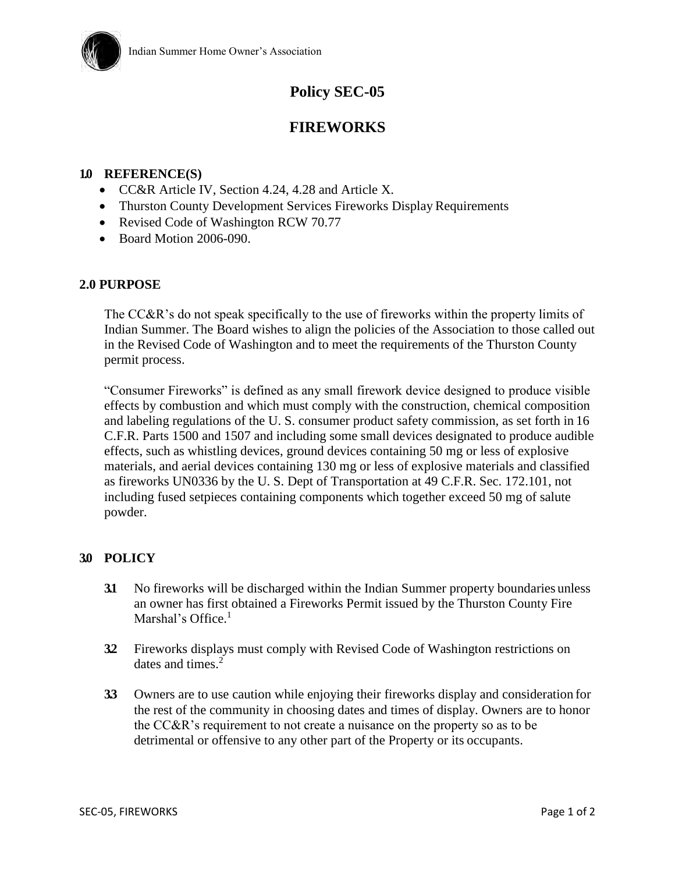

# **Policy SEC-05**

## **FIREWORKS**

### **1.0 REFERENCE(S)**

- CC&R Article IV, Section 4.24, 4.28 and Article X.
- Thurston County Development Services Fireworks Display Requirements
- Revised Code of Washington RCW 70.77
- Board Motion 2006-090.

#### **2.0 PURPOSE**

The CC&R's do not speak specifically to the use of fireworks within the property limits of Indian Summer. The Board wishes to align the policies of the Association to those called out in the Revised Code of Washington and to meet the requirements of the Thurston County permit process.

"Consumer Fireworks" is defined as any small firework device designed to produce visible effects by combustion and which must comply with the construction, chemical composition and labeling regulations of the U. S. consumer product safety commission, as set forth in 16 C.F.R. Parts 1500 and 1507 and including some small devices designated to produce audible effects, such as whistling devices, ground devices containing 50 mg or less of explosive materials, and aerial devices containing 130 mg or less of explosive materials and classified as fireworks UN0336 by the U. S. Dept of Transportation at 49 C.F.R. Sec. 172.101, not including fused setpieces containing components which together exceed 50 mg of salute powder.

## **3.0 POLICY**

- **3.1** No fireworks will be discharged within the Indian Summer property boundaries unless an owner has first obtained a Fireworks Permit issued by the Thurston County Fire Marshal's Office.<sup>1</sup>
- **3.2** Fireworks displays must comply with Revised Code of Washington restrictions on dates and times. $2$
- **3.3** Owners are to use caution while enjoying their fireworks display and consideration for the rest of the community in choosing dates and times of display. Owners are to honor the CC&R's requirement to not create a nuisance on the property so as to be detrimental or offensive to any other part of the Property or its occupants.